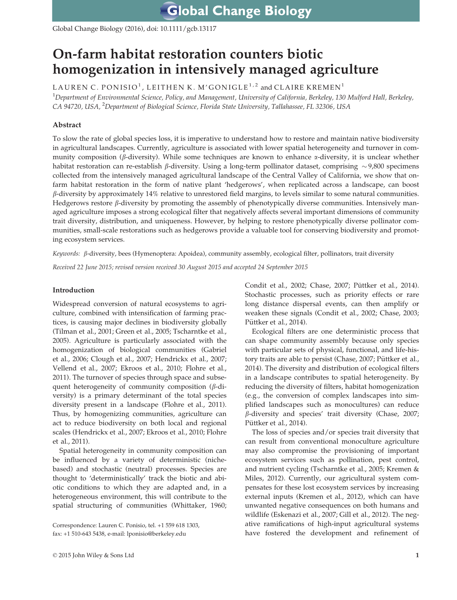Global Change Biology (2016), doi: 10.1111/gcb.13117

# On-farm habitat restoration counters biotic homogenization in intensively managed agriculture

LAUREN C. PONISIO<sup>1</sup>, LEITHEN K. M'GONIGLE<sup>1,2</sup> and CLAIRE KREMEN<sup>1</sup>  $^{\rm 1}$ Department of Environmental Science, Policy, and Management, University of California, Berkeley, 130 Mulford Hall, Berkeley, CA 94720, USA, <sup>2</sup>Department of Biological Science, Florida State University, Tallahassee, FL 32306, USA

# Abstract

To slow the rate of global species loss, it is imperative to understand how to restore and maintain native biodiversity in agricultural landscapes. Currently, agriculture is associated with lower spatial heterogeneity and turnover in community composition ( $\beta$ -diversity). While some techniques are known to enhance  $\alpha$ -diversity, it is unclear whether habitat restoration can re-establish  $\beta$ -diversity. Using a long-term pollinator dataset, comprising  $\sim$ 9,800 specimens collected from the intensively managed agricultural landscape of the Central Valley of California, we show that onfarm habitat restoration in the form of native plant 'hedgerows', when replicated across a landscape, can boost  $\beta$ -diversity by approximately 14% relative to unrestored field margins, to levels similar to some natural communities. Hedgerows restore  $\beta$ -diversity by promoting the assembly of phenotypically diverse communities. Intensively managed agriculture imposes a strong ecological filter that negatively affects several important dimensions of community trait diversity, distribution, and uniqueness. However, by helping to restore phenotypically diverse pollinator communities, small-scale restorations such as hedgerows provide a valuable tool for conserving biodiversity and promoting ecosystem services.

Keywords:  $\beta$ -diversity, bees (Hymenoptera: Apoidea), community assembly, ecological filter, pollinators, trait diversity

Received 22 June 2015; revised version received 30 August 2015 and accepted 24 September 2015

# Introduction

Widespread conversion of natural ecosystems to agriculture, combined with intensification of farming practices, is causing major declines in biodiversity globally (Tilman et al., 2001; Green et al., 2005; Tscharntke et al., 2005). Agriculture is particularly associated with the homogenization of biological communities (Gabriel et al., 2006; Clough et al., 2007; Hendrickx et al., 2007; Vellend et al., 2007; Ekroos et al., 2010; Flohre et al., 2011). The turnover of species through space and subsequent heterogeneity of community composition  $(\beta$ -diversity) is a primary determinant of the total species diversity present in a landscape (Flohre et al., 2011). Thus, by homogenizing communities, agriculture can act to reduce biodiversity on both local and regional scales (Hendrickx et al., 2007; Ekroos et al., 2010; Flohre et al., 2011).

Spatial heterogeneity in community composition can be influenced by a variety of deterministic (nichebased) and stochastic (neutral) processes. Species are thought to 'deterministically' track the biotic and abiotic conditions to which they are adapted and, in a heterogeneous environment, this will contribute to the spatial structuring of communities (Whittaker, 1960;

Correspondence: Lauren C. Ponisio, tel. +1 559 618 1303, fax: +1 510-643 5438, e-mail: lponisio@berkeley.edu

Condit et al., 2002; Chase, 2007; Püttker et al., 2014). Stochastic processes, such as priority effects or rare long distance dispersal events, can then amplify or weaken these signals (Condit et al., 2002; Chase, 2003; Püttker et al., 2014).

Ecological filters are one deterministic process that can shape community assembly because only species with particular sets of physical, functional, and life-history traits are able to persist (Chase, 2007; Püttker et al., 2014). The diversity and distribution of ecological filters in a landscape contributes to spatial heterogeneity. By reducing the diversity of filters, habitat homogenization (e.g., the conversion of complex landscapes into simplified landscapes such as monocultures) can reduce  $\beta$ -diversity and species' trait diversity (Chase, 2007; Püttker et al., 2014).

The loss of species and/or species trait diversity that can result from conventional monoculture agriculture may also compromise the provisioning of important ecosystem services such as pollination, pest control, and nutrient cycling (Tscharntke et al., 2005; Kremen & Miles, 2012). Currently, our agricultural system compensates for these lost ecosystem services by increasing external inputs (Kremen et al., 2012), which can have unwanted negative consequences on both humans and wildlife (Eskenazi et al., 2007; Gill et al., 2012). The negative ramifications of high-input agricultural systems have fostered the development and refinement of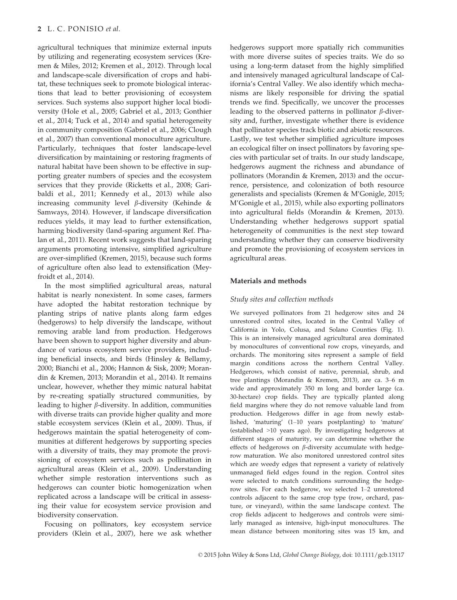agricultural techniques that minimize external inputs by utilizing and regenerating ecosystem services (Kremen & Miles, 2012; Kremen et al., 2012). Through local and landscape-scale diversification of crops and habitat, these techniques seek to promote biological interactions that lead to better provisioning of ecosystem services. Such systems also support higher local biodiversity (Hole et al., 2005; Gabriel et al., 2013; Gonthier et al., 2014; Tuck et al., 2014) and spatial heterogeneity in community composition (Gabriel et al., 2006; Clough et al., 2007) than conventional monoculture agriculture. Particularly, techniques that foster landscape-level diversification by maintaining or restoring fragments of natural habitat have been shown to be effective in supporting greater numbers of species and the ecosystem services that they provide (Ricketts et al., 2008; Garibaldi et al., 2011; Kennedy et al., 2013) while also increasing community level  $\beta$ -diversity (Kehinde & Samways, 2014). However, if landscape diversification reduces yields, it may lead to further extensification, harming biodiversity (land-sparing argument Ref. Phalan et al., 2011). Recent work suggests that land-sparing arguments promoting intensive, simplified agriculture are over-simplified (Kremen, 2015), because such forms of agriculture often also lead to extensification (Meyfroidt et al., 2014).

In the most simplified agricultural areas, natural habitat is nearly nonexistent. In some cases, farmers have adopted the habitat restoration technique by planting strips of native plants along farm edges (hedgerows) to help diversify the landscape, without removing arable land from production. Hedgerows have been shown to support higher diversity and abundance of various ecosystem service providers, including beneficial insects, and birds (Hinsley & Bellamy, 2000; Bianchi et al., 2006; Hannon & Sisk, 2009; Morandin & Kremen, 2013; Morandin et al., 2014). It remains unclear, however, whether they mimic natural habitat by re-creating spatially structured communities, by leading to higher  $\beta$ -diversity. In addition, communities with diverse traits can provide higher quality and more stable ecosystem services (Klein et al., 2009). Thus, if hedgerows maintain the spatial heterogeneity of communities at different hedgerows by supporting species with a diversity of traits, they may promote the provisioning of ecosystem services such as pollination in agricultural areas (Klein et al., 2009). Understanding whether simple restoration interventions such as hedgerows can counter biotic homogenization when replicated across a landscape will be critical in assessing their value for ecosystem service provision and biodiversity conservation.

Focusing on pollinators, key ecosystem service providers (Klein et al., 2007), here we ask whether

hedgerows support more spatially rich communities with more diverse suites of species traits. We do so using a long-term dataset from the highly simplified and intensively managed agricultural landscape of California's Central Valley. We also identify which mechanisms are likely responsible for driving the spatial trends we find. Specifically, we uncover the processes leading to the observed patterns in pollinator  $\beta$ -diversity and, further, investigate whether there is evidence that pollinator species track biotic and abiotic resources. Lastly, we test whether simplified agriculture imposes an ecological filter on insect pollinators by favoring species with particular set of traits. In our study landscape, hedgerows augment the richness and abundance of pollinators (Morandin & Kremen, 2013) and the occurrence, persistence, and colonization of both resource generalists and specialists (Kremen & M'Gonigle, 2015; M'Gonigle et al., 2015), while also exporting pollinators into agricultural fields (Morandin & Kremen, 2013). Understanding whether hedgerows support spatial heterogeneity of communities is the next step toward understanding whether they can conserve biodiversity and promote the provisioning of ecosystem services in agricultural areas.

# Materials and methods

## Study sites and collection methods

We surveyed pollinators from 21 hedgerow sites and 24 unrestored control sites, located in the Central Valley of California in Yolo, Colusa, and Solano Counties (Fig. 1). This is an intensively managed agricultural area dominated by monocultures of conventional row crops, vineyards, and orchards. The monitoring sites represent a sample of field margin conditions across the northern Central Valley. Hedgerows, which consist of native, perennial, shrub, and tree plantings (Morandin & Kremen, 2013), are ca. 3–6 m wide and approximately 350 m long and border large (ca. 30-hectare) crop fields. They are typically planted along field margins where they do not remove valuable land from production. Hedgerows differ in age from newly established, 'maturing' (1–10 years postplanting) to 'mature' (established >10 years ago). By investigating hedgerows at different stages of maturity, we can determine whether the effects of hedgerows on  $\beta$ -diversity accumulate with hedgerow maturation. We also monitored unrestored control sites which are weedy edges that represent a variety of relatively unmanaged field edges found in the region. Control sites were selected to match conditions surrounding the hedgerow sites. For each hedgerow, we selected 1–2 unrestored controls adjacent to the same crop type (row, orchard, pasture, or vineyard), within the same landscape context. The crop fields adjacent to hedgerows and controls were similarly managed as intensive, high-input monocultures. The mean distance between monitoring sites was 15 km, and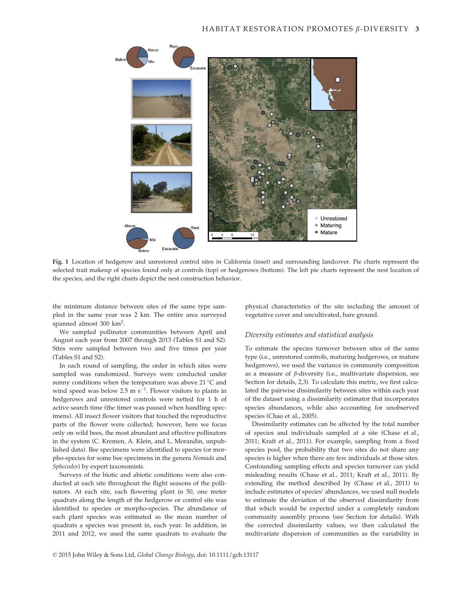

Fig. 1 Location of hedgerow and unrestored control sites in California (inset) and surrounding landcover. Pie charts represent the selected trait makeup of species found only at controls (top) or hedgerows (bottom). The left pie charts represent the nest location of the species, and the right charts depict the nest construction behavior.

the minimum distance between sites of the same type sampled in the same year was 2 km. The entire area surveyed spanned almost 300 km2.

We sampled pollinator communities between April and August each year from 2007 through 2013 (Tables S1 and S2). Sites were sampled between two and five times per year (Tables S1 and S2).

In each round of sampling, the order in which sites were sampled was randomized. Surveys were conducted under sunny conditions when the temperature was above  $21^{\circ}$ C and wind speed was below 2.5 m  $s^{-1}$ . Flower visitors to plants in hedgerows and unrestored controls were netted for 1 h of active search time (the timer was paused when handling specimens). All insect flower visitors that touched the reproductive parts of the flower were collected; however, here we focus only on wild bees, the most abundant and effective pollinators in the system (C. Kremen, A. Klein, and L. Morandin, unpublished data). Bee specimens were identified to species (or morpho-species for some bee specimens in the genera Nomada and Sphecodes) by expert taxonomists.

Surveys of the biotic and abiotic conditions were also conducted at each site throughout the flight seasons of the pollinators. At each site, each flowering plant in 50, one meter quadrats along the length of the hedgerow or control site was identified to species or morpho-species. The abundance of each plant species was estimated as the mean number of quadrats a species was present in, each year. In addition, in 2011 and 2012, we used the same quadrats to evaluate the

physical characteristics of the site including the amount of vegetative cover and uncultivated, bare ground.

#### Diversity estimates and statistical analysis

To estimate the species turnover between sites of the same type (i.e., unrestored controls, maturing hedgerows, or mature hedgerows), we used the variance in community composition as a measure of  $\beta$ -diversity (i.e., multivariate dispersion, see Section for details, 2,3). To calculate this metric, we first calculated the pairwise dissimilarity between sites within each year of the dataset using a dissimilarity estimator that incorporates species abundances, while also accounting for unobserved species (Chao et al., 2005).

Dissimilarity estimates can be affected by the total number of species and individuals sampled at a site (Chase et al., 2011; Kraft et al., 2011). For example, sampling from a fixed species pool, the probability that two sites do not share any species is higher when there are few individuals at those sites. Confounding sampling effects and species turnover can yield misleading results (Chase et al., 2011; Kraft et al., 2011). By extending the method described by (Chase et al., 2011) to include estimates of species' abundances, we used null models to estimate the deviation of the observed dissimilarity from that which would be expected under a completely random community assembly process (see Section for details). With the corrected dissimilarity values, we then calculated the multivariate dispersion of communities as the variability in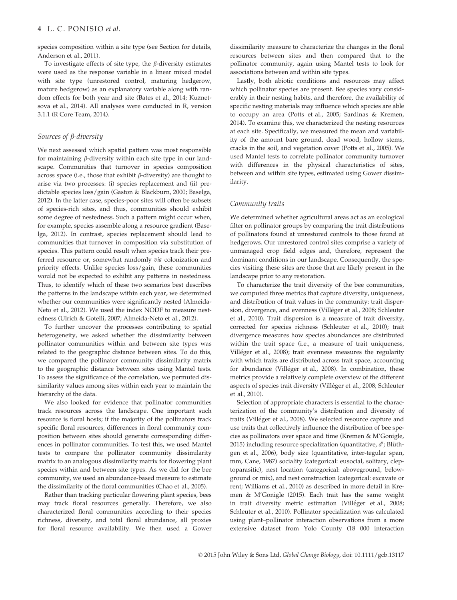species composition within a site type (see Section for details, Anderson et al., 2011).

To investigate effects of site type, the  $\beta$ -diversity estimates were used as the response variable in a linear mixed model with site type (unrestored control, maturing hedgerow, mature hedgerow) as an explanatory variable along with random effects for both year and site (Bates et al., 2014; Kuznetsova et al., 2014). All analyses were conducted in R, version 3.1.1 (R Core Team, 2014).

#### Sources of  $\beta$ -diversity

We next assessed which spatial pattern was most responsible for maintaining  $\beta$ -diversity within each site type in our landscape. Communities that turnover in species composition across space (i.e., those that exhibit  $\beta$ -diversity) are thought to arise via two processes: (i) species replacement and (ii) predictable species loss/gain (Gaston & Blackburn, 2000; Baselga, 2012). In the latter case, species-poor sites will often be subsets of species-rich sites, and thus, communities should exhibit some degree of nestedness. Such a pattern might occur when, for example, species assemble along a resource gradient (Baselga, 2012). In contrast, species replacement should lead to communities that turnover in composition via substitution of species. This pattern could result when species track their preferred resource or, somewhat randomly via colonization and priority effects. Unlike species loss/gain, these communities would not be expected to exhibit any patterns in nestedness. Thus, to identify which of these two scenarios best describes the patterns in the landscape within each year, we determined whether our communities were significantly nested (Almeida-Neto et al., 2012). We used the index NODF to measure nestedness (Ulrich & Gotelli, 2007; Almeida-Neto et al., 2012).

To further uncover the processes contributing to spatial heterogeneity, we asked whether the dissimilarity between pollinator communities within and between site types was related to the geographic distance between sites. To do this, we compared the pollinator community dissimilarity matrix to the geographic distance between sites using Mantel tests. To assess the significance of the correlation, we permuted dissimilarity values among sites within each year to maintain the hierarchy of the data.

We also looked for evidence that pollinator communities track resources across the landscape. One important such resource is floral hosts; if the majority of the pollinators track specific floral resources, differences in floral community composition between sites should generate corresponding differences in pollinator communities. To test this, we used Mantel tests to compare the pollinator community dissimilarity matrix to an analogous dissimilarity matrix for flowering plant species within and between site types. As we did for the bee community, we used an abundance-based measure to estimate the dissimilarity of the floral communities (Chao et al., 2005).

Rather than tracking particular flowering plant species, bees may track floral resources generally. Therefore, we also characterized floral communities according to their species richness, diversity, and total floral abundance, all proxies for floral resource availability. We then used a Gower dissimilarity measure to characterize the changes in the floral resources between sites and then compared that to the pollinator community, again using Mantel tests to look for associations between and within site types.

Lastly, both abiotic conditions and resources may affect which pollinator species are present. Bee species vary considerably in their nesting habits, and therefore, the availability of specific nesting materials may influence which species are able to occupy an area (Potts et al., 2005; Sardinas & Kremen, 2014). To examine this, we characterized the nesting resources at each site. Specifically, we measured the mean and variability of the amount bare ground, dead wood, hollow stems, cracks in the soil, and vegetation cover (Potts et al., 2005). We used Mantel tests to correlate pollinator community turnover with differences in the physical characteristics of sites, between and within site types, estimated using Gower dissimilarity.

### Community traits

We determined whether agricultural areas act as an ecological filter on pollinator groups by comparing the trait distributions of pollinators found at unrestored controls to those found at hedgerows. Our unrestored control sites comprise a variety of unmanaged crop field edges and, therefore, represent the dominant conditions in our landscape. Consequently, the species visiting these sites are those that are likely present in the landscape prior to any restoration.

To characterize the trait diversity of the bee communities, we computed three metrics that capture diversity, uniqueness, and distribution of trait values in the community: trait dispersion, divergence, and evenness (Villéger et al., 2008; Schleuter et al., 2010). Trait dispersion is a measure of trait diversity, corrected for species richness (Schleuter et al., 2010); trait divergence measures how species abundances are distributed within the trait space (i.e., a measure of trait uniqueness, Villéger et al., 2008); trait evenness measures the regularity with which traits are distributed across trait space, accounting for abundance (Villéger et al., 2008). In combination, these metrics provide a relatively complete overview of the different aspects of species trait diversity (Villéger et al., 2008; Schleuter et al., 2010).

Selection of appropriate characters is essential to the characterization of the community's distribution and diversity of traits (Villéger et al., 2008). We selected resource capture and use traits that collectively influence the distribution of bee species as pollinators over space and time (Kremen & M'Gonigle, 2015) including resource specialization (quantitative,  $d'$ ; Blüthgen et al., 2006), body size (quantitative, inter-tegular span, mm, Cane, 1987) sociality (categorical: eusocial, solitary, cleptoparasitic), nest location (categorical: aboveground, belowground or mix), and nest construction (categorical: excavate or rent; Williams et al., 2010) as described in more detail in Kremen & M'Gonigle (2015). Each trait has the same weight in trait diversity metric estimation (Villéger et al., 2008; Schleuter et al., 2010). Pollinator specialization was calculated using plant–pollinator interaction observations from a more extensive dataset from Yolo County (18 000 interaction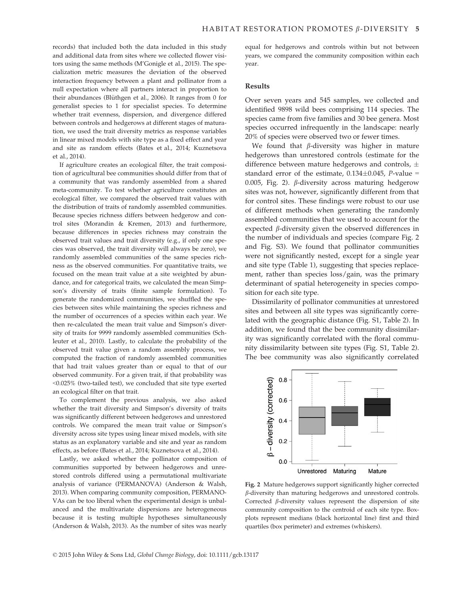records) that included both the data included in this study and additional data from sites where we collected flower visitors using the same methods (M'Gonigle et al., 2015). The specialization metric measures the deviation of the observed interaction frequency between a plant and pollinator from a null expectation where all partners interact in proportion to their abundances (Blüthgen et al., 2006). It ranges from 0 for generalist species to 1 for specialist species. To determine whether trait evenness, dispersion, and divergence differed between controls and hedgerows at different stages of maturation, we used the trait diversity metrics as response variables in linear mixed models with site type as a fixed effect and year and site as random effects (Bates et al., 2014; Kuznetsova et al., 2014).

If agriculture creates an ecological filter, the trait composition of agricultural bee communities should differ from that of a community that was randomly assembled from a shared meta-community. To test whether agriculture constitutes an ecological filter, we compared the observed trait values with the distribution of traits of randomly assembled communities. Because species richness differs between hedgerow and control sites (Morandin & Kremen, 2013) and furthermore, because differences in species richness may constrain the observed trait values and trait diversity (e.g., if only one species was observed, the trait diversity will always be zero), we randomly assembled communities of the same species richness as the observed communities. For quantitative traits, we focused on the mean trait value at a site weighted by abundance, and for categorical traits, we calculated the mean Simpson's diversity of traits (finite sample formulation). To generate the randomized communities, we shuffled the species between sites while maintaining the species richness and the number of occurrences of a species within each year. We then re-calculated the mean trait value and Simpson's diversity of traits for 9999 randomly assembled communities (Schleuter et al., 2010). Lastly, to calculate the probability of the observed trait value given a random assembly process, we computed the fraction of randomly assembled communities that had trait values greater than or equal to that of our observed community. For a given trait, if that probability was <0.025% (two-tailed test), we concluded that site type exerted an ecological filter on that trait.

To complement the previous analysis, we also asked whether the trait diversity and Simpson's diversity of traits was significantly different between hedgerows and unrestored controls. We compared the mean trait value or Simpson's diversity across site types using linear mixed models, with site status as an explanatory variable and site and year as random effects, as before (Bates et al., 2014; Kuznetsova et al., 2014).

Lastly, we asked whether the pollinator composition of communities supported by between hedgerows and unrestored controls differed using a permutational multivariate analysis of variance (PERMANOVA) (Anderson & Walsh, 2013). When comparing community composition, PERMANO-VAs can be too liberal when the experimental design is unbalanced and the multivariate dispersions are heterogeneous because it is testing multiple hypotheses simultaneously (Anderson & Walsh, 2013). As the number of sites was nearly

equal for hedgerows and controls within but not between years, we compared the community composition within each year.

## Results

Over seven years and 545 samples, we collected and identified 9898 wild bees comprising 114 species. The species came from five families and 30 bee genera. Most species occurred infrequently in the landscape: nearly 20% of species were observed two or fewer times.

We found that  $\beta$ -diversity was higher in mature hedgerows than unrestored controls (estimate for the difference between mature hedgerows and controls,  $\pm$ standard error of the estimate,  $0.134\pm0.045$ , P-value = 0.005, Fig. 2).  $\beta$ -diversity across maturing hedgerow sites was not, however, significantly different from that for control sites. These findings were robust to our use of different methods when generating the randomly assembled communities that we used to account for the expected  $\beta$ -diversity given the observed differences in the number of individuals and species (compare Fig. 2 and Fig. S3). We found that pollinator communities were not significantly nested, except for a single year and site type (Table 1), suggesting that species replacement, rather than species loss/gain, was the primary determinant of spatial heterogeneity in species composition for each site type.

Dissimilarity of pollinator communities at unrestored sites and between all site types was significantly correlated with the geographic distance (Fig. S1, Table 2). In addition, we found that the bee community dissimilarity was significantly correlated with the floral community dissimilarity between site types (Fig. S1, Table 2). The bee community was also significantly correlated



Fig. 2 Mature hedgerows support significantly higher corrected  $\beta$ -diversity than maturing hedgerows and unrestored controls. Corrected  $\beta$ -diversity values represent the dispersion of site community composition to the centroid of each site type. Boxplots represent medians (black horizontal line) first and third quartiles (box perimeter) and extremes (whiskers).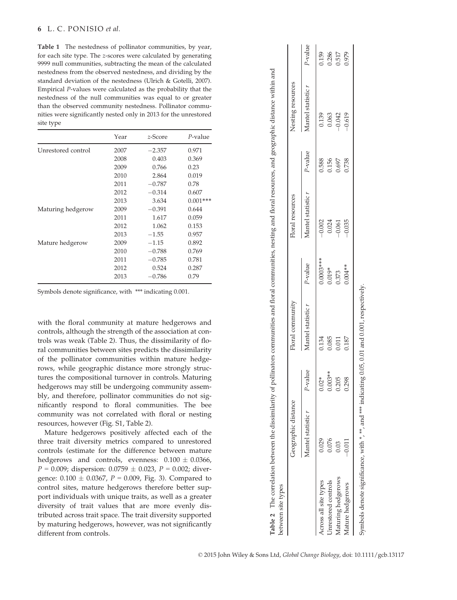## 6 L. C. PONISIO et al.

Table 1 The nestedness of pollinator communities, by year, for each site type. The z-scores were calculated by generating 9999 null communities, subtracting the mean of the calculated nestedness from the observed nestedness, and dividing by the standard deviation of the nestedness (Ulrich & Gotelli, 2007). Empirical P-values were calculated as the probability that the nestedness of the null communities was equal to or greater than the observed community nestedness. Pollinator communities were significantly nested only in 2013 for the unrestored site type

|                    | Year | z-Score  | $P$ -value |
|--------------------|------|----------|------------|
| Unrestored control | 2007 | $-2.357$ | 0.971      |
|                    | 2008 | 0.403    | 0.369      |
|                    | 2009 | 0.766    | 0.23       |
|                    | 2010 | 2.864    | 0.019      |
|                    | 2011 | $-0.787$ | 0.78       |
|                    | 2012 | $-0.314$ | 0.607      |
|                    | 2013 | 3.634    | $0.001***$ |
| Maturing hedgerow  | 2009 | $-0.391$ | 0.644      |
|                    | 2011 | 1.617    | 0.059      |
|                    | 2012 | 1.062    | 0.153      |
|                    | 2013 | $-1.55$  | 0.957      |
| Mature hedgerow    | 2009 | $-1.15$  | 0.892      |
|                    | 2010 | $-0.788$ | 0.769      |
|                    | 2011 | $-0.785$ | 0.781      |
|                    | 2012 | 0.524    | 0.287      |
|                    | 2013 | $-0.786$ | 0.79       |

Symbols denote significance, with \*\*\* indicating 0.001.

with the floral community at mature hedgerows and controls, although the strength of the association at controls was weak (Table 2). Thus, the dissimilarity of floral communities between sites predicts the dissimilarity of the pollinator communities within mature hedgerows, while geographic distance more strongly structures the compositional turnover in controls. Maturing hedgerows may still be undergoing community assembly, and therefore, pollinator communities do not significantly respond to floral communities. The bee community was not correlated with floral or nesting resources, however (Fig. S1, Table 2).

Mature hedgerows positively affected each of the three trait diversity metrics compared to unrestored controls (estimate for the difference between mature hedgerows and controls, evenness:  $0.100 \pm 0.0366$ ,  $P = 0.009$ ; dispersion:  $0.0759 \pm 0.023$ ,  $P = 0.002$ ; divergence:  $0.100 \pm 0.0367$ ,  $P = 0.009$ , Fig. 3). Compared to control sites, mature hedgerows therefore better support individuals with unique traits, as well as a greater diversity of trait values that are more evenly distributed across trait space. The trait diversity supported by maturing hedgerows, however, was not significantly different from controls.

|                       | Geographic distance |         | Floral community                              |            | Floral resources   |         | Nesting resources  |         |
|-----------------------|---------------------|---------|-----------------------------------------------|------------|--------------------|---------|--------------------|---------|
|                       | Mantel statistic r  | P-value | Mantel statistic r                            | P-value    | Mantel statistic r | P-value | Mantel statistic r | P-value |
| Across all site types | 0.029               | $02*$   | 0.134                                         | 0.0003***  | $-0.002$           | 0.588   | 0.139              | 0.159   |
| Unrestored controls   | 0.076               | .003**  |                                               | $0.019*$   | 0.024              | 0.156   | 0.063              | 0.286   |
| Maturing hedgerows    | 0.03                | 205     | $\begin{array}{c} 0.085 \\ 0.011 \end{array}$ | 0.373      | $-0.061$           | 1.697   | $-0.042$           | 0.517   |
| Mature hedgerows      | $-0.011$            | ,298    | 0.187                                         | $0.004***$ | $-0.035$           | 0.738   | $-0.619$           | 0.979   |

Symbols denote significance, with  $*$ ,  $*$ , and  $*$  indicating 0.05, 0.01 and 0.001, respectively. symbols denote significance, with \*, \*\*, and \*\*\* indicating 0.05, 0.01 and 0.001, respectively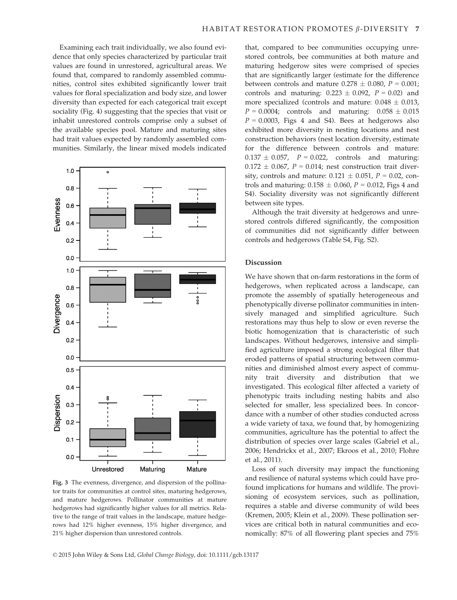Examining each trait individually, we also found evidence that only species characterized by particular trait values are found in unrestored, agricultural areas. We found that, compared to randomly assembled communities, control sites exhibited significantly lower trait values for floral specialization and body size, and lower diversity than expected for each categorical trait except sociality (Fig. 4) suggesting that the species that visit or inhabit unrestored controls comprise only a subset of the available species pool. Mature and maturing sites had trait values expected by randomly assembled communities. Similarly, the linear mixed models indicated



Fig. 3 The evenness, divergence, and dispersion of the pollinator traits for communities at control sites, maturing hedgerows, and mature hedgerows. Pollinator communities at mature hedgerows had significantly higher values for all metrics. Relative to the range of trait values in the landscape, mature hedgerows had 12% higher evenness, 15% higher divergence, and 21% higher dispersion than unrestored controls.

that, compared to bee communities occupying unrestored controls, bee communities at both mature and maturing hedgerow sites were comprised of species that are significantly larger (estimate for the difference between controls and mature  $0.278 \pm 0.080$ ,  $P = 0.001$ ; controls and maturing:  $0.223 \pm 0.092$ ,  $P = 0.02$ ) and more specialized (controls and mature:  $0.048 \pm 0.013$ ,  $P = 0.0004$ ; controls and maturing:  $0.058 \pm 0.015$  $P = 0.0003$ , Figs 4 and S4). Bees at hedgerows also exhibited more diversity in nesting locations and nest construction behaviors (nest location diversity, estimate for the difference between controls and mature:  $0.137 \pm 0.057$ ,  $P = 0.022$ , controls and maturing:  $0.172 \pm 0.067$ ,  $P = 0.014$ ; nest construction trait diversity, controls and mature:  $0.121 \pm 0.051$ ,  $P = 0.02$ , controls and maturing:  $0.158 \pm 0.060$ ,  $P = 0.012$ , Figs 4 and S4). Sociality diversity was not significantly different between site types.

Although the trait diversity at hedgerows and unrestored controls differed significantly, the composition of communities did not significantly differ between controls and hedgerows (Table S4, Fig. S2).

## Discussion

We have shown that on-farm restorations in the form of hedgerows, when replicated across a landscape, can promote the assembly of spatially heterogeneous and phenotypically diverse pollinator communities in intensively managed and simplified agriculture. Such restorations may thus help to slow or even reverse the biotic homogenization that is characteristic of such landscapes. Without hedgerows, intensive and simplified agriculture imposed a strong ecological filter that eroded patterns of spatial structuring between communities and diminished almost every aspect of community trait diversity and distribution that we investigated. This ecological filter affected a variety of phenotypic traits including nesting habits and also selected for smaller, less specialized bees. In concordance with a number of other studies conducted across a wide variety of taxa, we found that, by homogenizing communities, agriculture has the potential to affect the distribution of species over large scales (Gabriel et al., 2006; Hendrickx et al., 2007; Ekroos et al., 2010; Flohre et al., 2011).

Loss of such diversity may impact the functioning and resilience of natural systems which could have profound implications for humans and wildlife. The provisioning of ecosystem services, such as pollination, requires a stable and diverse community of wild bees (Kremen, 2005; Klein et al., 2009). These pollination services are critical both in natural communities and economically: 87% of all flowering plant species and 75%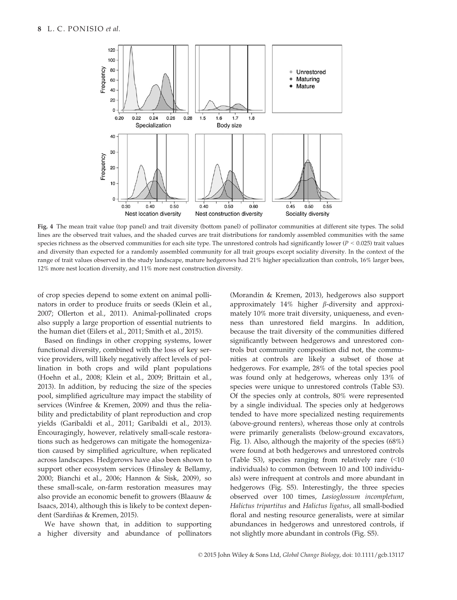

Fig. 4 The mean trait value (top panel) and trait diversity (bottom panel) of pollinator communities at different site types. The solid lines are the observed trait values, and the shaded curves are trait distributions for randomly assembled communities with the same species richness as the observed communities for each site type. The unrestored controls had significantly lower ( $P < 0.025$ ) trait values and diversity than expected for a randomly assembled community for all trait groups except sociality diversity. In the context of the range of trait values observed in the study landscape, mature hedgerows had 21% higher specialization than controls, 16% larger bees, 12% more nest location diversity, and 11% more nest construction diversity.

of crop species depend to some extent on animal pollinators in order to produce fruits or seeds (Klein et al., 2007; Ollerton et al., 2011). Animal-pollinated crops also supply a large proportion of essential nutrients to the human diet (Eilers et al., 2011; Smith et al., 2015).

Based on findings in other cropping systems, lower functional diversity, combined with the loss of key service providers, will likely negatively affect levels of pollination in both crops and wild plant populations (Hoehn et al., 2008; Klein et al., 2009; Brittain et al., 2013). In addition, by reducing the size of the species pool, simplified agriculture may impact the stability of services (Winfree & Kremen, 2009) and thus the reliability and predictability of plant reproduction and crop yields (Garibaldi et al., 2011; Garibaldi et al., 2013). Encouragingly, however, relatively small-scale restorations such as hedgerows can mitigate the homogenization caused by simplified agriculture, when replicated across landscapes. Hedgerows have also been shown to support other ecosystem services (Hinsley & Bellamy, 2000; Bianchi et al., 2006; Hannon & Sisk, 2009), so these small-scale, on-farm restoration measures may also provide an economic benefit to growers (Blaauw & Isaacs, 2014), although this is likely to be context dependent (Sardiñas & Kremen, 2015).

We have shown that, in addition to supporting a higher diversity and abundance of pollinators (Morandin & Kremen, 2013), hedgerows also support approximately 14% higher  $\beta$ -diversity and approximately 10% more trait diversity, uniqueness, and evenness than unrestored field margins. In addition, because the trait diversity of the communities differed significantly between hedgerows and unrestored controls but community composition did not, the communities at controls are likely a subset of those at hedgerows. For example, 28% of the total species pool was found only at hedgerows, whereas only 13% of species were unique to unrestored controls (Table S3). Of the species only at controls, 80% were represented by a single individual. The species only at hedgerows tended to have more specialized nesting requirements (above-ground renters), whereas those only at controls were primarily generalists (below-ground excavators, Fig. 1). Also, although the majority of the species (68%) were found at both hedgerows and unrestored controls (Table S3), species ranging from relatively rare (<10 individuals) to common (between 10 and 100 individuals) were infrequent at controls and more abundant in hedgerows (Fig. S5). Interestingly, the three species observed over 100 times, Lasioglossum incompletum, Halictus tripartitus and Halictus ligatus, all small-bodied floral and nesting resource generalists, were at similar abundances in hedgerows and unrestored controls, if not slightly more abundant in controls (Fig. S5).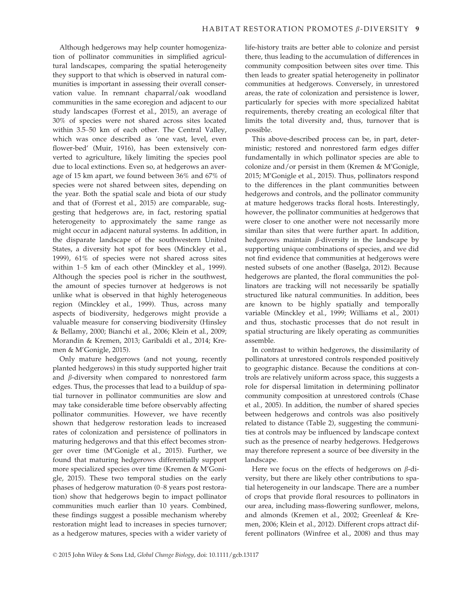Although hedgerows may help counter homogenization of pollinator communities in simplified agricultural landscapes, comparing the spatial heterogeneity they support to that which is observed in natural communities is important in assessing their overall conservation value. In remnant chaparral/oak woodland communities in the same ecoregion and adjacent to our study landscapes (Forrest et al., 2015), an average of 30% of species were not shared across sites located within 3.5–50 km of each other. The Central Valley, which was once described as 'one vast, level, even flower-bed' (Muir, 1916), has been extensively converted to agriculture, likely limiting the species pool due to local extinctions. Even so, at hedgerows an average of 15 km apart, we found between 36% and 67% of species were not shared between sites, depending on the year. Both the spatial scale and biota of our study and that of (Forrest et al., 2015) are comparable, suggesting that hedgerows are, in fact, restoring spatial heterogeneity to approximately the same range as might occur in adjacent natural systems. In addition, in the disparate landscape of the southwestern United States, a diversity hot spot for bees (Minckley et al., 1999), 61% of species were not shared across sites within 1–5 km of each other (Minckley et al., 1999). Although the species pool is richer in the southwest, the amount of species turnover at hedgerows is not unlike what is observed in that highly heterogeneous region (Minckley et al., 1999). Thus, across many aspects of biodiversity, hedgerows might provide a valuable measure for conserving biodiversity (Hinsley & Bellamy, 2000; Bianchi et al., 2006; Klein et al., 2009; Morandin & Kremen, 2013; Garibaldi et al., 2014; Kremen & M'Gonigle, 2015).

Only mature hedgerows (and not young, recently planted hedgerows) in this study supported higher trait and  $\beta$ -diversity when compared to nonrestored farm edges. Thus, the processes that lead to a buildup of spatial turnover in pollinator communities are slow and may take considerable time before observably affecting pollinator communities. However, we have recently shown that hedgerow restoration leads to increased rates of colonization and persistence of pollinators in maturing hedgerows and that this effect becomes stronger over time (M'Gonigle et al., 2015). Further, we found that maturing hedgerows differentially support more specialized species over time (Kremen & M'Gonigle, 2015). These two temporal studies on the early phases of hedgerow maturation (0–8 years post restoration) show that hedgerows begin to impact pollinator communities much earlier than 10 years. Combined, these findings suggest a possible mechanism whereby restoration might lead to increases in species turnover; as a hedgerow matures, species with a wider variety of life-history traits are better able to colonize and persist there, thus leading to the accumulation of differences in community composition between sites over time. This then leads to greater spatial heterogeneity in pollinator communities at hedgerows. Conversely, in unrestored areas, the rate of colonization and persistence is lower, particularly for species with more specialized habitat requirements, thereby creating an ecological filter that limits the total diversity and, thus, turnover that is possible.

This above-described process can be, in part, deterministic; restored and nonrestored farm edges differ fundamentally in which pollinator species are able to colonize and/or persist in them (Kremen & M'Gonigle, 2015; M'Gonigle et al., 2015). Thus, pollinators respond to the differences in the plant communities between hedgerows and controls, and the pollinator community at mature hedgerows tracks floral hosts. Interestingly, however, the pollinator communities at hedgerows that were closer to one another were not necessarily more similar than sites that were further apart. In addition, hedgerows maintain  $\beta$ -diversity in the landscape by supporting unique combinations of species, and we did not find evidence that communities at hedgerows were nested subsets of one another (Baselga, 2012). Because hedgerows are planted, the floral communities the pollinators are tracking will not necessarily be spatially structured like natural communities. In addition, bees are known to be highly spatially and temporally variable (Minckley et al., 1999; Williams et al., 2001) and thus, stochastic processes that do not result in spatial structuring are likely operating as communities assemble.

In contrast to within hedgerows, the dissimilarity of pollinators at unrestored controls responded positively to geographic distance. Because the conditions at controls are relatively uniform across space, this suggests a role for dispersal limitation in determining pollinator community composition at unrestored controls (Chase et al., 2005). In addition, the number of shared species between hedgerows and controls was also positively related to distance (Table 2), suggesting the communities at controls may be influenced by landscape context such as the presence of nearby hedgerows. Hedgerows may therefore represent a source of bee diversity in the landscape.

Here we focus on the effects of hedgerows on  $\beta$ -diversity, but there are likely other contributions to spatial heterogeneity in our landscape. There are a number of crops that provide floral resources to pollinators in our area, including mass-flowering sunflower, melons, and almonds (Kremen et al., 2002; Greenleaf & Kremen, 2006; Klein et al., 2012). Different crops attract different pollinators (Winfree et al., 2008) and thus may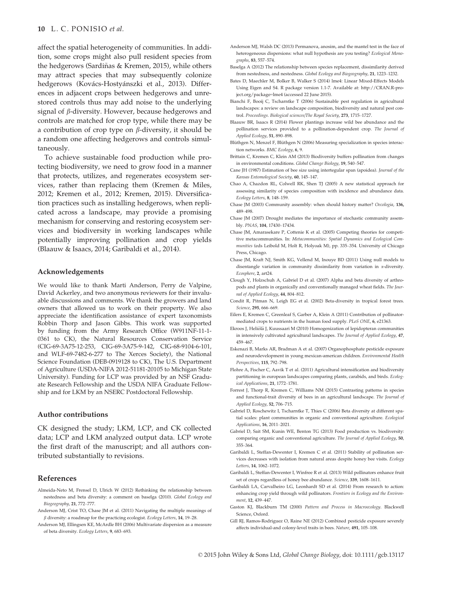### 10 L. C. PONISIO et al.

affect the spatial heterogeneity of communities. In addition, some crops might also pull resident species from the hedgerows (Sardiñas & Kremen, 2015), while others may attract species that may subsequently colonize hedgerows (Kovács-Hostyánszki et al., 2013). Differences in adjacent crops between hedgerows and unrestored controls thus may add noise to the underlying signal of  $\beta$ -diversity. However, because hedgerows and controls are matched for crop type, while there may be a contribution of crop type on  $\beta$ -diversity, it should be a random one affecting hedgerows and controls simultaneously.

To achieve sustainable food production while protecting biodiversity, we need to grow food in a manner that protects, utilizes, and regenerates ecosystem services, rather than replacing them (Kremen & Miles, 2012; Kremen et al., 2012; Kremen, 2015). Diversification practices such as installing hedgerows, when replicated across a landscape, may provide a promising mechanism for conserving and restoring ecosystem services and biodiversity in working landscapes while potentially improving pollination and crop yields (Blaauw & Isaacs, 2014; Garibaldi et al., 2014).

#### Acknowledgements

We would like to thank Marti Anderson, Perry de Valpine, David Ackerley, and two anonymous reviewers for their invaluable discussions and comments. We thank the growers and land owners that allowed us to work on their property. We also appreciate the identification assistance of expert taxonomists Robbin Thorp and Jason Gibbs. This work was supported by funding from the Army Research Office (W911NF-11-1- 0361 to CK), the Natural Resources Conservation Service (CIG-69-3A75-12-253, CIG-69-3A75-9-142, CIG-68-9104-6-101, and WLF-69-7482-6-277 to The Xerces Society), the National Science Foundation (DEB-0919128 to CK), The U.S. Department of Agriculture (USDA-NIFA 2012-51181-20105 to Michigan State University). Funding for LCP was provided by an NSF Graduate Research Fellowship and the USDA NIFA Graduate Fellowship and for LKM by an NSERC Postdoctoral Fellowship.

#### Author contributions

CK designed the study; LKM, LCP, and CK collected data; LCP and LKM analyzed output data. LCP wrote the first draft of the manuscript; and all authors contributed substantially to revisions.

#### References

- Almeida-Neto M, Frensel D, Ulrich W (2012) Rethinking the relationship between nestedness and beta diversity: a comment on baselga (2010). Global Ecology and Biogeography, 21, 772–777.
- Anderson MJ, Crist TO, Chase JM et al. (2011) Navigating the multiple meanings of  $\beta$  diversity: a roadmap for the practicing ecologist. Ecology Letters, 14, 19–28.
- Anderson MJ, Ellingsen KE, McArdle BH (2006) Multivariate dispersion as a measure of beta diversity. Ecology Letters, 9, 683–693.
- Anderson MJ, Walsh DC (2013) Permanova, anosim, and the mantel test in the face of heterogeneous dispersions: what null hypothesis are you testing? Ecological Monographs, 83, 557–574.
- Baselga A (2012) The relationship between species replacement, dissimilarity derived from nestedness, and nestedness. Global Ecology and Biogeography, 21, 1223–1232.
- Bates D, Maechler M, Bolker B, Walker S (2014) lme4: Linear Mixed-Effects Models Using Eigen and S4. R package version 1.1-7. Available at: http://CRAN.R-project.org/package=lme4 (accessed 22 June 2015).
- Bianchi F, Booij C, Tscharntke T (2006) Sustainable pest regulation in agricultural landscapes: a review on landscape composition, biodiversity and natural pest control. Proceedings. Biological sciences/The Royal Society, 273, 1715–1727.
- Blaauw BR, Isaacs R (2014) Flower plantings increase wild bee abundance and the pollination services provided to a pollination-dependent crop. The Journal of Applied Ecology, 51, 890–898.
- Blüthgen N, Menzel F, Blüthgen N (2006) Measuring specialization in species interaction networks. BMC Ecology, 6, 9.
- Brittain C, Kremen C, Klein AM (2013) Biodiversity buffers pollination from changes in environmental conditions. Global Change Biology, 19, 540–547.
- Cane JH (1987) Estimation of bee size using intertegular span (apoidea). Journal of the Kansas Entomological Society, 60, 145–147.
- Chao A, Chazdon RL, Colwell RK, Shen TJ (2005) A new statistical approach for assessing similarity of species composition with incidence and abundance data. Ecology Letters, 8, 148–159.
- Chase JM (2003) Community assembly: when should history matter? Oecologia, 136, 489–498.
- Chase JM (2007) Drought mediates the importance of stochastic community assembly. PNAS, 104, 17430–17434.
- Chase JM, Amarasekare P, Cottenie K et al. (2005) Competing theories for competitive metacommunities. In: Metacommunities: Spatial Dynamics and Ecological Communities (eds Leibold M, Holt R, Holyoak M), pp. 335–354. University of Chicago Press, Chicago.
- Chase JM, Kraft NJ, Smith KG, Vellend M, Inouye BD (2011) Using null models to disentangle variation in community dissimilarity from variation in a-diversity. Ecosphere, 2, art24.
- Clough Y, Holzschuh A, Gabriel D et al. (2007) Alpha and beta diversity of arthropods and plants in organically and conventionally managed wheat fields. The Journal of Applied Ecology, 44, 804–812.
- Condit R, Pitman N, Leigh EG et al. (2002) Beta-diversity in tropical forest trees. Science, 295, 666–669.
- Eilers E, Kremen C, Greenleaf S, Garber A, Klein A (2011) Contribution of pollinatormediated crops to nutrients in the human food supply. PLoS ONE, 6, e21363.
- Ekroos J, Heliölä J, Kuussaari M (2010) Homogenization of lepidopteran communities in intensively cultivated agricultural landscapes. The Journal of Applied Ecology, 47, 459–467.
- Eskenazi B, Marks AR, Bradman A et al. (2007) Organophosphate pesticide exposure and neurodevelopment in young mexican-american children. Environmental Health Perspectives, 115, 792–798.
- Flohre A, Fischer C, Aavik T et al. (2011) Agricultural intensification and biodiversity partitioning in european landscapes comparing plants, carabids, and birds. Ecological Applications, 21, 1772–1781.
- Forrest J, Thorp R, Kremen C, Williams NM (2015) Contrasting patterns in species and functional-trait diversity of bees in an agricultural landscape. The Journal of Applied Ecology, 52, 706–715.
- Gabriel D, Roschewitz I, Tscharntke T, Thies C (2006) Beta diversity at different spatial scales: plant communities in organic and conventional agriculture. Ecological Applications, 16, 2011–2021.
- Gabriel D, Sait SM, Kunin WE, Benton TG (2013) Food production vs. biodiversity: comparing organic and conventional agriculture. The Journal of Applied Ecology, 50, 355–364.
- Garibaldi L, Steffan-Dewenter I, Kremen C et al. (2011) Stability of pollination services decreases with isolation from natural areas despite honey bee visits. Ecology Letters, 14, 1062–1072.
- Garibaldi L, Steffan-Dewenter I, Winfree R et al. (2013) Wild pollinators enhance fruit set of crops regardless of honey bee abundance. Science, 339, 1608-1611.
- Garibaldi LA, Carvalheiro LG, Leonhardt SD et al. (2014) From research to action: enhancing crop yield through wild pollinators. Frontiers in Ecology and the Environment, 12, 439–447.
- Gaston KJ, Blackburn TM (2000) Pattern and Process in Macroecology. Blackwell Science, Oxford.
- Gill RJ, Ramos-Rodriguez O, Raine NE (2012) Combined pesticide exposure severely affects individual-and colony-level traits in bees. Nature, 491, 105–108.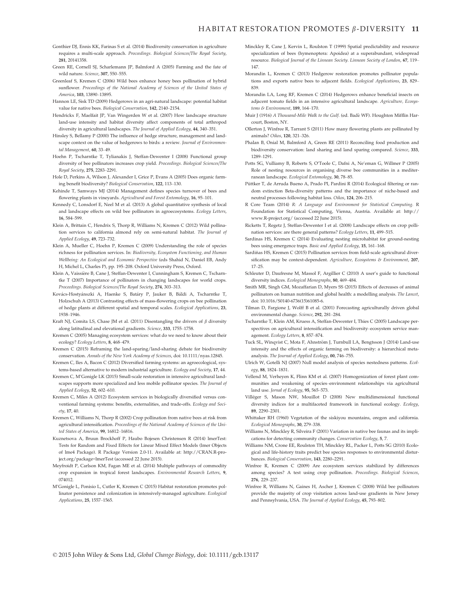- Gonthier DJ, Ennis KK, Farinas S et al. (2014) Biodiversity conservation in agriculture requires a multi-scale approach. Proceedings. Biological Sciences/The Royal Society, 281, 20141358.
- Green RE, Cornell SJ, Scharlemann JP, Balmford A (2005) Farming and the fate of wild nature. Science, 307, 550–555.
- Greenleaf S, Kremen C (2006) Wild bees enhance honey bees pollination of hybrid sunflower. Proceedings of the National Academy of Sciences of the United States of America, 103, 13890–13895.
- Hannon LE, Sisk TD (2009) Hedgerows in an agri-natural landscape: potential habitat value for native bees. Biological Conservation, 142, 2140–2154.
- Hendrickx F, Maelfait JP, Van Wingerden W et al. (2007) How landscape structure land-use intensity and habitat diversity affect components of total arthropod diversity in agricultural landscapes. The Journal of Applied Ecology, 44, 340–351.
- Hinsley S, Bellamy P (2000) The influence of hedge structure, management and landscape context on the value of hedgerows to birds: a review. Journal of Environmental Management, 60, 33–49.
- Hoehn P, Tscharntke T, Tylianakis J, Steffan-Dewenter I (2008) Functional group diversity of bee pollinators increases crop yield. Proceedings. Biological Sciences/The Royal Society, 275, 2283–2291.
- Hole D, Perkins A, Wilson J, Alexander I, Grice P, Evans A (2005) Does organic farming benefit biodiversity? Biological Conservation, 122, 113–130.
- Kehinde T, Samways MJ (2014) Management defines species turnover of bees and flowering plants in vineyards. Agricultural and Forest Entomology, 16, 95–101.
- Kennedy C, Lonsdorf E, Neel M et al. (2013) A global quantitative synthesis of local and landscape effects on wild bee pollinators in agroecosystems. Ecology Letters, 16, 584–599.
- Klein A, Brittain C, Hendrix S, Thorp R, Williams N, Kremen C (2012) Wild pollination services to california almond rely on semi-natural habitat. The Journal of Applied Ecology, 49, 723–732.
- Klein A, Mueller C, Hoehn P, Kremen C (2009) Understanding the role of species richness for pollination services. In: Biodiversity, Ecosystem Functioning, and Human Wellbeing: An Ecological and Economic Perspective (eds Shahid N, Daniel EB, Andy H, Michel L, Charles P), pp. 195–208. Oxford University Press, Oxford.
- Klein A, Vaissiere B, Cane J, Steffan-Dewenter I, Cunningham S, Kremen C, Tscharntke T (2007) Importance of pollinators in changing landscapes for world crops. Proceedings. Biological Sciences/The Royal Society, 274, 303–313.
- Kovács-Hostyánszki A, Haenke S, Batáry P, Jauker B, Báldi A, Tscharntke T, Holzschuh A (2013) Contrasting effects of mass-flowering crops on bee pollination of hedge plants at different spatial and temporal scales. Ecological Applications, 23, 1938–1946.
- Kraft NJ, Comita LS, Chase JM et al. (2011) Disentangling the drivers of  $\beta$  diversity along latitudinal and elevational gradients. Science, 333, 1755–1758.
- Kremen C (2005) Managing ecosystem services: what do we need to know about their ecology? Ecology Letters, 8, 468–479.
- Kremen C (2015) Reframing the land-sparing/land-sharing debate for biodiversity conservation. Annals of the New York Academy of Sciences, doi: 10.1111/nyas.12845.
- Kremen C, Iles A, Bacon C (2012) Diversified farming systems: an agroecological, systems-based alternative to modern industrial agriculture. Ecology and Society, 17, 44.
- Kremen C, M'Gonigle LK (2015) Small-scale restoration in intensive agricultural landscapes supports more specialized and less mobile pollinator species. The Journal of Applied Ecology, 52, 602–610.
- Kremen C, Miles A (2012) Ecosystem services in biologically diversified versus conventional farming systems: benefits, externalities, and trade-offs. Ecology and Society, 17, 40.
- Kremen C, Williams N, Thorp R (2002) Crop pollination from native bees at risk from agricultural intensification. Proceedings of the National Academy of Sciences of the United States of America, 99, 16812–16816.
- Kuznetsova A, Bruun Brockhoff P, Haubo Bojesen Christensen R (2014) lmerTest: Tests for Random and Fixed Effects for Linear Mixed Effect Models (lmer Objects of lme4 Package). R Package Version 2.0-11. Available at: http://CRAN.R-project.org/package=lmerTest (accessed 22 June 2015).
- Meyfroidt P, Carlson KM, Fagan ME et al. (2014) Multiple pathways of commodity crop expansion in tropical forest landscapes. Environmental Research Letters, 9, 074012.
- M'Gonigle L, Ponisio L, Cutler K, Kremen C (2015) Habitat restoration promotes pollinator persistence and colonization in intensively-managed agriculture. Ecological Applications, 25, 1557–1565.
- Minckley R, Cane J, Kervin L, Roulston T (1999) Spatial predictability and resource specialization of bees (hymenoptera: Apoidea) at a superabundant, widespread resource. Biological Journal of the Linnean Society. Linnean Society of London, 67, 119– 147.
- Morandin L, Kremen C (2013) Hedgerow restoration promotes pollinator populations and exports native bees to adjacent fields. Ecological Applications, 23, 829–  $820$
- Morandin LA, Long RF, Kremen C (2014) Hedgerows enhance beneficial insects on adjacent tomato fields in an intensive agricultural landscape. Agriculture, Ecosystems & Environment, 189, 164–170.
- Muir J (1916) A Thousand-Mile Walk to the Gulf. (ed. Bade WF). Houghton Mifflin Harcourt, Boston, NY.
- Ollerton J, Winfree R, Tarrant S (2011) How many flowering plants are pollinated by animals? Oikos, 120, 321–326.
- Phalan B, Onial M, Balmford A, Green RE (2011) Reconciling food production and biodiversity conservation: land sharing and land sparing compared. Science, 333, 1289–1291.
- Potts SG, Vulliamy B, Roberts S, O'Toole C, Dafni A, Ne'eman G, Willmer P (2005) Role of nesting resources in organising diverse bee communities in a mediterranean landscape. Ecological Entomology, 30, 78–85.
- Püttker T, de Arruda Bueno A, Prado PI, Pardini R (2014) Ecological filtering or random extinction Beta-diversity patterns and the importance of niche-based and neutral processes following habitat loss. Oikos, 124, 206–215.
- R Core Team (2014) R: A Language and Environment for Statistical Computing. R Foundation for Statistical Computing, Vienna, Austria. Available at: http:// www.R-project.org/ (accessed 22 June 2015).
- Ricketts T, Regetz J, Steffan-Dewenter I et al. (2008) Landscape effects on crop pollination services: are there general patterns? Ecology Letters, 11, 499–515.
- Sardinas HS, Kremen C (2014) Evaluating nesting microhabitat for ground-nesting bees using emergence traps. Basic and Applied Ecology, 15, 161–168.
- Sardiñas HS, Kremen C (2015) Pollination services from field-scale agricultural diversification may be context-dependent. Agriculture, Ecosystems & Environment, 207, 17–25.
- Schleuter D, Daufresne M, Massol F, Argillier C (2010) A user's guide to functional diversity indices. Ecological Monographs, 80, 469–484.
- Smith MR, Singh GM, Mozaffarian D, Myers SS (2015) Effects of decreases of animal pollinators on human nutrition and global health: a modelling analysis. The Lancet, doi: [10.1016/S0140-6736\(15\)61085-6.](http://dx.doi.org/10.1016/S0140-6736(15)61085-6)
- Tilman D, Fargione J, Wolff B et al. (2001) Forecasting agriculturally driven global environmental change. Science, 292, 281–284.
- Tscharntke T, Klein AM, Kruess A, Steffan-Dewenter I, Thies C (2005) Landscape perspectives on agricultural intensification and biodiversity–ecosystem service management. Ecology Letters, 8, 857–874.
- Tuck SL, Winqvist C, Mota F, Ahnström J, Turnbull LA, Bengtsson J (2014) Land-use intensity and the effects of organic farming on biodiversity: a hierarchical metaanalysis. The Journal of Applied Ecology, 00, 746–755.
- Ulrich W, Gotelli NJ (2007) Null model analysis of species nestedness patterns. Ecology, 88, 1824–1831.
- Vellend M, Verheyen K, Flinn KM et al. (2007) Homogenization of forest plant communities and weakening of species–environment relationships via agricultural land use. Jornal of Ecology, 95, 565–573.
- Villéger S, Mason NW, Mouillot D (2008) New multidimensional functional diversity indices for a multifaceted framework in functional ecology. Ecology, 89, 2290–2301.
- Whittaker RH (1960) Vegetation of the siskiyou mountains, oregon and california. Ecological Monographs, 30, 279–338.
- Williams N, Minckley R, Silveira F (2001) Variation in native bee faunas and its implications for detecting community changes. Conservation Ecology, 5, 7.
- Williams NM, Crone EE, Roulston TH, Minckley RL, Packer L, Potts SG (2010) Ecological and life-history traits predict bee species responses to environmental disturbances. Biological Conservation, 143, 2280–2291.
- Winfree R, Kremen C (2009) Are ecosystem services stabilized by differences among species? A test using crop pollination. Proceedings. Biological Sciences, 276, 229–237.
- Winfree R, Williams N, Gaines H, Ascher J, Kremen C (2008) Wild bee pollinators provide the majority of crop visitation across land-use gradients in New Jersey and Pennsylvania, USA. The Journal of Applied Ecology, 45, 793–802.